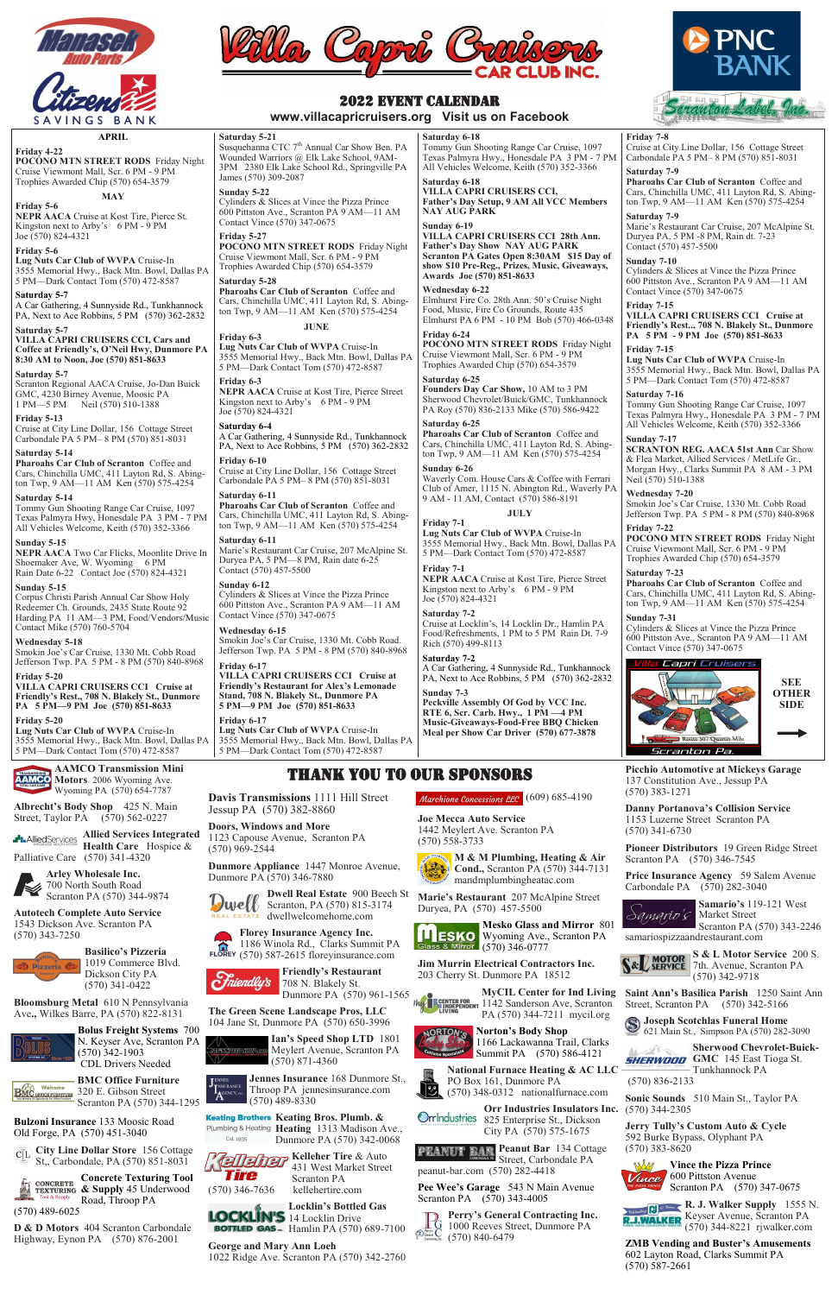

SAVINGS BANK

**APRIL**

**Friday 4-22**

**POCONO MTN STREET RODS** Friday Night Cruise Viewmont Mall, Scr. 6 PM - 9 PM Trophies Awarded Chip (570) 654-3579

**MAY**

**Friday 5-6**

**NEPR AACA** Cruise at Kost Tire, Pierce St. Kingston next to Arby's 6 PM - 9 PM

Joe (570) 824-4321

**Friday 5-6**

**Lug Nuts Car Club of WVPA** Cruise-In 3555 Memorial Hwy., Back Mtn. Bowl, Dallas PA 5 PM—Dark Contact Tom (570) 472-8587

Cruise at City Line Dollar, 156 Cottage Street Carbondale PA 5 PM-8 PM (570) 851-8031

**Saturday 5-7**

A Car Gathering, 4 Sunnyside Rd., Tunkhannock PA, Next to Ace Robbins, 5 PM (570) 362-2832

**Saturday 5-7**

**VILLA CAPRI CRUISERS CCI, Cars and Coffee at Friendly's, O'Neil Hwy, Dunmore PA** 

**8:30 AM to Noon, Joe (570) 851-8633**



**Saturday 5-7**

Shoemaker Ave, W. Wyoming 6 PM Rain Date 6-22 Contact Joe (570) 824-4321

Scranton Regional AACA Cruise, Jo-Dan Buick GMC, 4230 Birney Avenue, Moosic PA 1 PM—5 PM Neil (570) 510-1388

**Friday 5-13**

**Lug Nuts Car Club of WVPA** Cruise-In 3555 Memorial Hwy., Back Mtn. Bowl, Dallas PA 5 PM—Dark Contact Tom (570) 472-8587 **AAMCO Transmission Mini AAMCO** Motors 2006 Wyoming Ave.



**Saturday 5-14**

**Pharoahs Car Club of Scranton** Coffee and Cars, Chinchilla UMC, 411 Layton Rd, S. Abington Twp, 9 AM—11 AM Ken (570) 575-4254

Susquehanna CTC 7<sup>th</sup> Annual Car Show Ben. PA Wounded Warriors @ Elk Lake School, 9AM-3PM 2380 Elk Lake School Rd., Springville PA James (570) 309-2087

**Saturday 5-14**

### Tommy Gun Shooting Range Car Cruise, 1097

Texas Palmyra Hwy, Honesdale PA 3 PM - 7 PM All Vehicles Welcome, Keith (570) 352-3366

**Sunday 5-15**

## **NEPR AACA** Two Car Flicks, Moonlite Drive In

**Sunday 5-15**

Corpus Christi Parish Annual Car Show Holy Redeemer Ch. Grounds, 2435 State Route 92 Harding PA 11 AM—3 PM, Food/Vendors/Music

Contact Mike (570) 760-5704

**Wednesday 5-18**

Smokin Joe's Car Cruise, 1330 Mt. Cobb Road Jefferson Twp. PA 5 PM - 8 PM (570) 840-8968

**Friday 5-20**

**VILLA CAPRI CRUISERS CCI Cruise at Friendly's Rest., 708 N. Blakely St., Dunmore PA 5 PM—9 PM Joe (570) 851-8633**

**Friday 5-20**

#### **Saturday 5-21**

### **Sunday 5-22**

Cylinders & Slices at Vince the Pizza Prince 600 Pittston Ave., Scranton PA 9 AM—11 AM Contact Vince (570) 347-0675

#### **Friday 5-27**

**POCONO MTN STREET RODS** Friday Night Cruise Viewmont Mall, Scr. 6 PM - 9 PM Trophies Awarded Chip (570) 654-3579

#### **Saturday 5-28**

**Pharoahs Car Club of Scranton** Coffee and Cars, Chinchilla UMC, 411 Layton Rd, S. Abington Twp, 9 AM—11 AM Ken (570) 575-4254

**JUNE**

**Friday 6-3 Lug Nuts Car Club of WVPA** Cruise-In 3555 Memorial Hwy., Back Mtn. Bowl, Dallas PA 5 PM—Dark Contact Tom (570) 472-8587

#### **Friday 6-3**

**NEPR AACA** Cruise at Kost Tire, Pierce Street Kingston next to Arby's 6 PM - 9 PM Joe (570) 824-4321

#### **Saturday 6-4**

A Car Gathering, 4 Sunnyside Rd., Tunkhannock PA, Next to Ace Robbins, 5 PM (570) 362-2832

### **Friday 6-10**

Cruise at City Line Dollar, 156 Cottage Street Carbondale PA 5 PM– 8 PM (570) 851-8031 **Saturday 6-11**

**Pharoahs Car Club of Scranton** Coffee and Cars, Chinchilla UMC, 411 Layton Rd, S. Abington Twp, 9 AM—11 AM Ken (570) 575-4254 **Saturday 6-11**

Marie's Restaurant Car Cruise, 207 McAlpine St. Duryea PA, 5 PM—8 PM, Rain date 6-25 Contact (570) 457-5500

#### **Sunday 6-12**

Cylinders & Slices at Vince the Pizza Prince 600 Pittston Ave., Scranton PA 9 AM—11 AM Contact Vince (570) 347-0675

#### **Wednesday 6-15**

Smokin Joe's Car Cruise, 1330 Mt. Cobb Road. Jefferson Twp. PA 5 PM - 8 PM (570) 840-8968

#### **Friday 6-17**

**VILLA CAPRI CRUISERS CCI Cruise at Friendly's Restaurant for Alex's Lemonade Stand, 708 N. Blakely St., Dunmore PA 5 PM—9 PM Joe (570) 851-8633**

**Friday 6-17 Lug Nuts Car Club of WVPA** Cruise-In

3555 Memorial Hwy., Back Mtn. Bowl, Dallas PA 5 PM—Dark Contact Tom (570) 472-8587

**Saturday 6-18**

Tommy Gun Shooting Range Car Cruise, 1097 Texas Palmyra Hwy., Honesdale PA 3 PM - 7 PM All Vehicles Welcome, Keith (570) 352-3366

**Saturday 6-18**

**VILLA CAPRI CRUISERS CCI,**

**Father's Day Setup, 9 AM All VCC Members**

**NAY AUG PARK Sunday 6-19**

**VILLA CAPRI CRUISERS CCI 28th Ann. Father's Day Show NAY AUG PARK Scranton PA Gates Open 8:30AM \$15 Day of show \$10 Pre-Reg., Prizes, Music, Giveaways,** 

**Awards Joe (570) 851-8633**

**Wednesday 6-22**

**Dwell Real Estate** 900 Beech St **E** dwellwelcomehome.com

Elmhurst Fire Co. 28th Ann. 50's Cruise Night Food, Music, Fire Co Grounds, Route 435 Elmhurst PA 6 PM - 10 PM Bob (570) 466-0348

**Friday 6-24**

**POCONO MTN STREET RODS** Friday Night Cruise Viewmont Mall, Scr. 6 PM - 9 PM Trophies Awarded Chip (570) 654-3579

**Saturday 6-25**

**Founders Day Car Show,** 10 AM to 3 PM Sherwood Chevrolet/Buick/GMC, Tunkhannock PA Roy (570) 836-2133 Mike (570) 586-9422

Kelleher **Kelleher Tire** & Auto 431 West Market Street Tire Scranton PA (570) 346-7636 kellehertire.com

**Locklin's Bottled Gas**  LOCKLIN'S 14 Locklin Drive **BOTTLED GAS**- Hamlin PA (570) 689-7100 **Saturday 6-25**

**Pharoahs Car Club of Scranton** Coffee and Cars, Chinchilla UMC, 411 Layton Rd, S. Abington Twp, 9 AM—11 AM Ken (570) 575-4254

**Sunday 6-26**

Waverly Com. House Cars & Coffee with Ferrari Club of Amer, 1115 N. Abington Rd., Waverly PA

9 AM - 11 AM, Contact (570) 586-8191

**JULY**

**Friday 7-1**

**Lug Nuts Car Club of WVPA** Cruise-In 3555 Memorial Hwy., Back Mtn. Bowl, Dallas PA 5 PM—Dark Contact Tom (570) 472-8587

**Friday 7-1**

**NEPR AACA** Cruise at Kost Tire, Pierce Street Kingston next to Arby's 6 PM - 9 PM

Joe (570) 824-4321 **Saturday 7-2**

Cruise at Locklin's, 14 Locklin Dr., Hamlin PA Food/Refreshments, 1 PM to 5 PM Rain Dt. 7-9

Rich (570) 499-8113 **Saturday 7-2**

A Car Gathering, 4 Sunnyside Rd., Tunkhannock PA, Next to Ace Robbins, 5 PM (570) 362-2832

**Sunday 7-3**

**Peckville Assembly Of God by VCC Inc. RTE 6, Scr. Carb. Hwy., 1 PM —4 PM Music-Giveaways-Food-Free BBQ Chicken Meal per Show Car Driver (570) 677-3878**

#### **Friday 7-8**

Cruise at City Line Dollar, 156 Cottage Street Carbondale PA 5 PM– 8 PM (570) 851-8031

#### **Saturday 7-9**

**R. J. Walker Supply** 1555 N. Keyser Avenue, Scranton PA (570) 344-8221 rjwalker.com

**Pharoahs Car Club of Scranton** Coffee and Cars, Chinchilla UMC, 411 Layton Rd, S. Abington Twp, 9 AM—11 AM Ken (570) 575-4254

#### **Saturday 7-9**

Marie's Restaurant Car Cruise, 207 McAlpine St. Duryea PA, 5 PM -8 PM, Rain dt. 7-23 Contact (570) 457-5500

#### **Sunday 7-10**

Cylinders & Slices at Vince the Pizza Prince 600 Pittston Ave., Scranton PA 9 AM—11 AM Contact Vince (570) 347-0675

#### **Friday 7-15**

**VILLA CAPRI CRUISERS CCI Cruise at Friendly's Rest.., 708 N. Blakely St., Dunmore PA 5 PM - 9 PM Joe (570) 851-8633 Friday 7-15**

**Lug Nuts Car Club of WVPA** Cruise-In 3555 Memorial Hwy., Back Mtn. Bowl, Dallas PA 5 PM—Dark Contact Tom (570) 472-8587

#### **Saturday 7-16** Tommy Gun Shooting Range Car Cruise, 1097

Texas Palmyra Hwy., Honesdale PA 3 PM - 7 PM All Vehicles Welcome, Keith (570) 352-3366

### **Sunday 7-17**

**SCRANTON REG. AACA 51st Ann** Car Show & Flea Market, Allied Services / MetLife Gr., Morgan Hwy., Clarks Summit PA [8 AM](mailto:marxgto@yahoo.com) - 3 PM Neil (570) 510-1388

#### **Wednesday 7-20**

Smokin Joe's Car Cruise, 1330 Mt. Cobb Road Jefferson Twp. PA 5 PM - 8 PM (570) 840-8968 **Friday 7-22**

**POCONO MTN STREET RODS** Friday Night Cruise Viewmont Mall, Scr. 6 PM - 9 PM Trophies Awarded Chip (570) 654-3579

### **Saturday 7-23**

**Pharoahs Car Club of Scranton** Coffee and Cars, Chinchilla UMC, 411 Layton Rd, S. Abington Twp, 9 AM—11 AM Ken (570) 575-4254

### **Sunday 7-31**

Cylinders & Slices at Vince the Pizza Prince 600 Pittston Ave., Scranton PA 9 AM—11 AM Contact Vince (570) 347-0675

#### Capri Cruisers

### 2022 EVENT CALENDAR

**www.villacapricruisers.org Visit us on Facebook**

Wyoming PA (570) 654-7787 **Albrecht's Body Shop** 425 N. Main Street, Taylor PA (570) 562-0227

**Allied Services Integrated Health Care** Hospice & Palliative Care (570) 341-4320



700 North South Road Scranton PA (570) 344-9874

**Autotech Complete Auto Service**  1543 Dickson Ave. Scranton PA (570) 343-7250

**Basilico's Pizzeria** 

1019 Commerce Blvd. Dickson City PA (570) 341-0422

**Bloomsburg Metal** 610 N Pennsylvania Ave**.,** Wilkes Barre, PA (570) 822-8131



**Bolus Freight Systems** 700 N. Keyser Ave, Scranton PA (570) 342-1903 CDL Drivers Needed



**BMC Office Furniture**  320 E. Gibson Street Scranton PA (570) 344-1295

**Bulzoni Insurance** 133 Moosic Road Old Forge, PA (570) 451-3040

**City Line Dollar Store** 156 Cottage St,, Carbondale, PA (570) 851-8031

**Concrete Texturing Tool CONCRETE CONCRETE**<br> **TEXTURING** & Supply 45 Underwood Road, Throop PA (570) 489-6025

**D & D Motors** 404 Scranton Carbondale Highway, Eynon PA (570) 876-2001

## THANK YOU TO OUR SPONSORS

#### Marchione Concessions LLC (609) 685-4190

**Davis Transmissions** 1111 Hill Street Jessup PA (570) 382-8860

**Doors, Windows and More**  1123 Capouse Avenue, Scranton PA (570) 969-2544

**Dunmore Appliance** 1447 Monroe Avenue,

Dunmore PA (570) 346-7880

 $\sum$ Well Bear Estate 900 Beech

**Florey Insurance Agency Inc.**   $\mathbf{\widetilde{\Omega}}$ 1186 Winola Rd., Clarks Summit PA

(570) 587-2615 floreyinsurance.com

**Friendly's Restaurant**  ndly's 708 N. Blakely St. Dunmore PA (570) 961-1565

**The Green Scene Landscape Pros, LLC**

104 Jane St, Dunmore PA (570) 650-3996

**Ian's Speed Shop LTD** 1801 **SPEED SHOPLEOTA** Meylert Avenue, Scranton PA (570) 871-4360

**Jennes Insurance** 168 Dunmore St., URANCE Throop PA jennesinsurance.com  $\mathbf{A}^{\mathsf{c}}$ (570) 489-8330

**Keating Bros. Plumb. &**  Plumbing & Heating Heating 1313 Madison Ave., Est. 1935 Dunmore PA (570) 342-0068

**George and Mary Ann Loeh**  1022 Ridge Ave. Scranton PA (570) 342-2760

**Joe Mecca Auto Service**  1442 Meylert Ave. Scranton PA (570) 558-3733



**Marie's Restaurant** 207 McAlpine Street Duryea, PA (570) 457-5500





**Jim Murrin Electrical Contractors Inc.** 203 Cherry St. Dunmore PA 18512





**Norton's Body Shop**  1166 Lackawanna Trail, Clarks Summit PA (570) 586-4121

**National Furnace Heating & AC LLC**  PO Box 161, Dunmore PA (570) 348-0312 nationalfurnace.com

**Orr Industries Insulators Inc.**  Orrlndustries 825 Enterprise St., Dickson City PA (570) 575-1675

**Peanut Bar** 134 Cottage Street, Carbondale PA peanut-bar.com (570) 282-4418

**Pee Wee's Garage** 543 N Main Avenue Scranton PA (570) 343-4005

**Perry's General Contracting Inc.**   $\mathbb{R}$  1000 Reeves Street, Dunmore PA  $\left\{\bigcap_{\text{Intracting, Inc.}}^{\text{Parry's}}\bigcup_{\text{Contracting, Inc.}}\right\}$ (570) 840-6479



**Picchio Automotive at Mickeys Garage** 137 Constitution Ave., Jessup PA (570) 383-1271

**Danny Portanova's Collision Service** 1153 Luzerne Street Scranton PA (570) 341-6730

**Pioneer Distributors** 19 Green Ridge Street Scranton PA (570) 346-7545

**Price Insurance Agency** 59 Salem Avenue Carbondale PA (570) 282-3040



samariospizzaandrestaurant.com

**S & L Motor Service** 200 S. **MOTOR** S & L Motor Service 200<br> **SERVICE** 7th. Avenue, Scranton PA (570) 342-9718

**Saint Ann's Basilica Parish** 1250 Saint Ann Street, Scranton PA (570) 342-5166

**Joseph Scotchlas Funeral Home**  621 Main St., Simpson PA (570) 282-3090

**Sherwood Chevrolet-Buick-GHERWOOD** GMC 145 East Tioga St. Tunkhannock PA (570) 836-2133

**Sonic Sounds** 510 Main St., Taylor PA (570) 344-2305

**Jerry Tully's Custom Auto & Cycle** 592 Burke Bypass, Olyphant PA (570) 383-8620



**Vince the Pizza Prince**  Vince 600 Pittston Avenue Scranton PA (570) 347-0675



**ZMB Vending and Buster's Amusements** 602 Layton Road, Clarks Summit PA (570) 587-2661